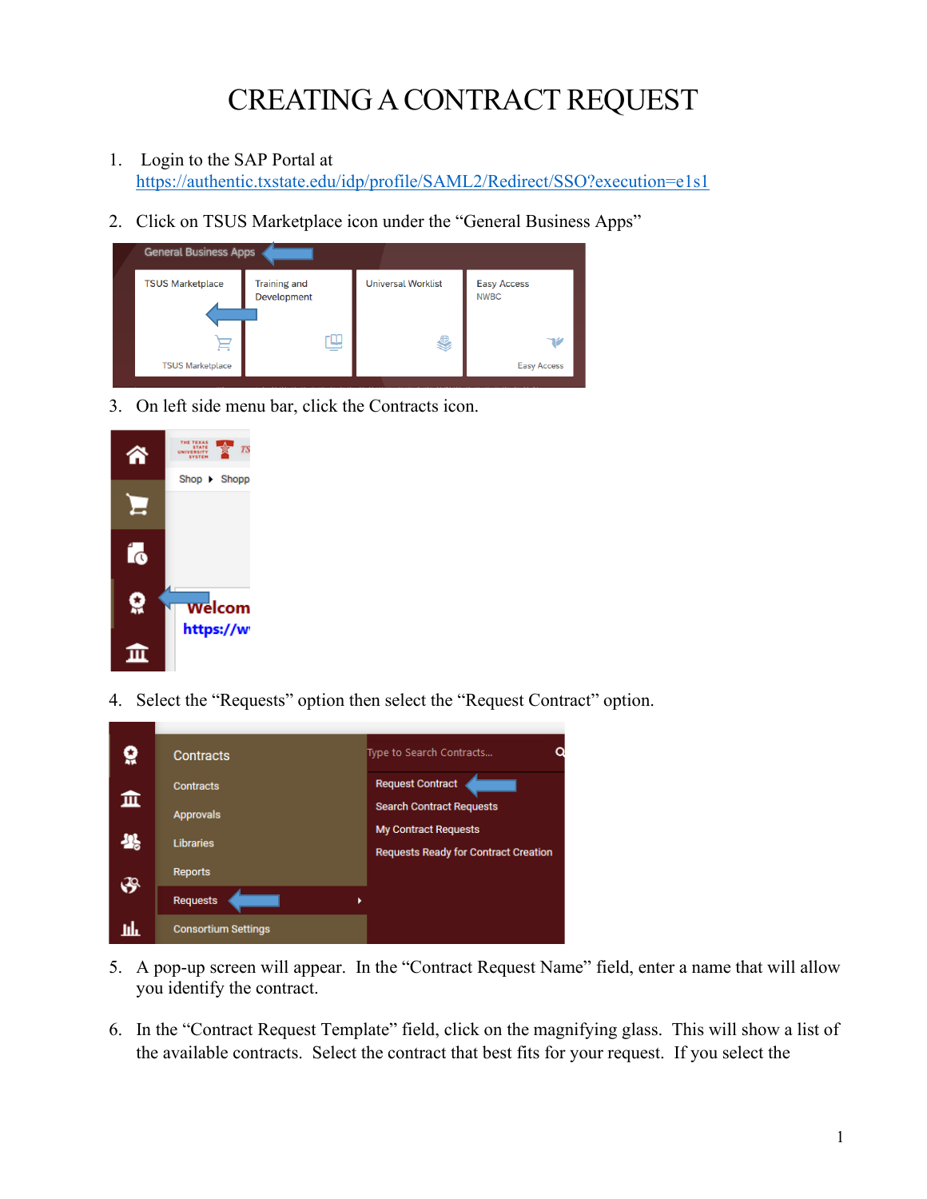## CREATING A CONTRACT REQUEST

- 1. Login to the SAP Portal at <https://authentic.txstate.edu/idp/profile/SAML2/Redirect/SSO?execution=e1s1>
- 2. Click on TSUS Marketplace icon under the "General Business Apps"

| <b>General Business Apps</b> |                                    |                           |                                   |  |  |
|------------------------------|------------------------------------|---------------------------|-----------------------------------|--|--|
| <b>TSUS Marketplace</b>      | <b>Training and</b><br>Development | <b>Universal Worklist</b> | <b>Easy Access</b><br><b>NWBC</b> |  |  |
| ⊨                            | _                                  | 9                         | שר                                |  |  |
| <b>TSUS Marketplace</b>      |                                    |                           | <b>Easy Access</b>                |  |  |

3. On left side menu bar, click the Contracts icon.



4. Select the "Requests" option then select the "Request Contract" option.



- 5. A pop-up screen will appear. In the "Contract Request Name" field, enter a name that will allow you identify the contract.
- 6. In the "Contract Request Template" field, click on the magnifying glass. This will show a list of the available contracts. Select the contract that best fits for your request. If you select the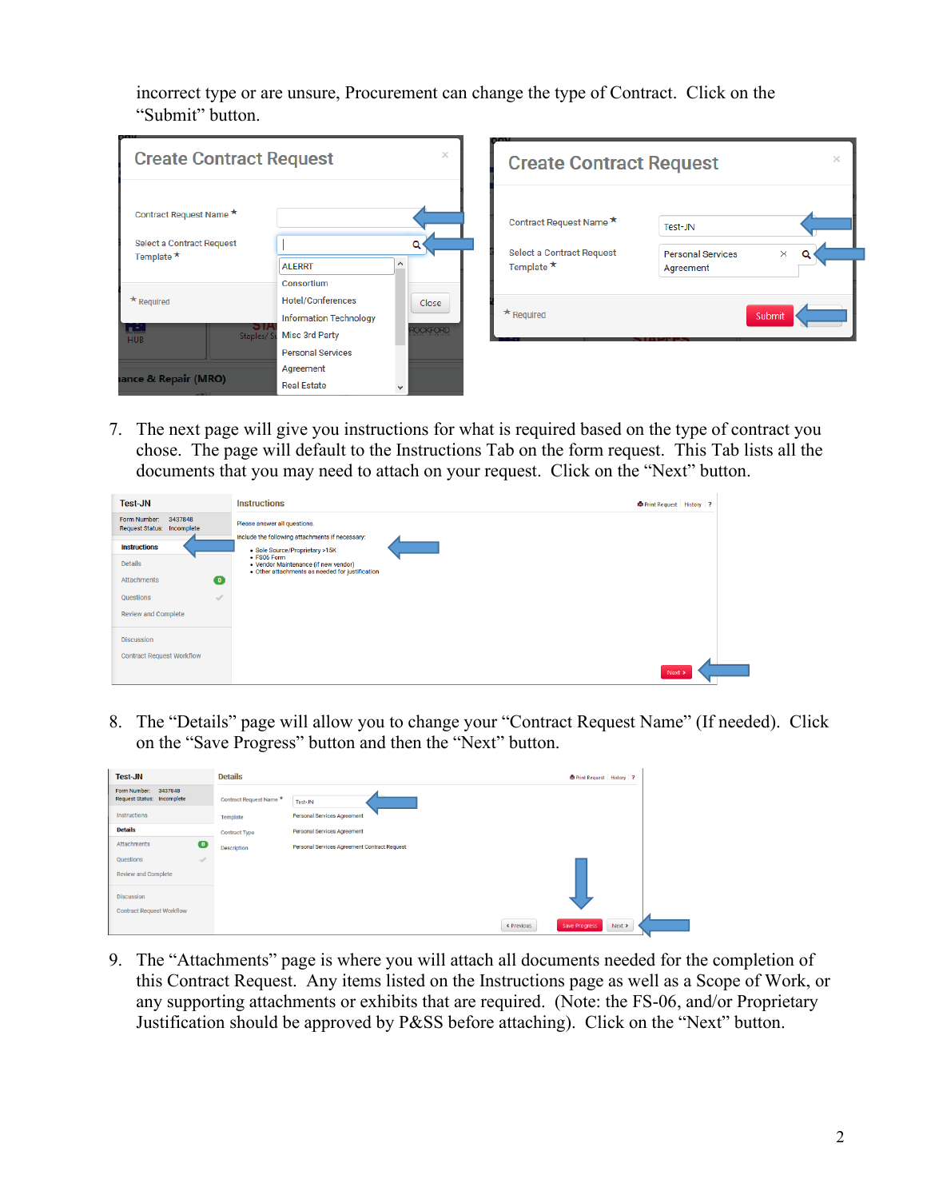incorrect type or are unsure, Procurement can change the type of Contract. Click on the "Submit" button.

| <b>Create Contract Request</b>                                           |                                                                                                                       | ×                        | <b>Create Contract Request</b>                                           | ×                                                            |
|--------------------------------------------------------------------------|-----------------------------------------------------------------------------------------------------------------------|--------------------------|--------------------------------------------------------------------------|--------------------------------------------------------------|
| Contract Request Name *<br>Select a Contract Request<br>Template $\star$ | <b>ALERRT</b>                                                                                                         |                          | Contract Request Name *<br>Select a Contract Request<br>Template $\star$ | Test-JN<br>$\times$<br><b>Personal Services</b><br>Agreement |
| $\star$ Required<br>لغبا<br>ÐІA<br>Staples/S<br><b>HUB</b>               | Consortium<br><b>Hotel/Conferences</b><br><b>Information Technology</b><br>Misc 3rd Party<br><b>Personal Services</b> | Close<br><b>ROCKFORD</b> | $*$ Required                                                             | Submit                                                       |
| ance & Repair (MRO)                                                      | Agreement<br><b>Real Estate</b>                                                                                       | v                        |                                                                          |                                                              |

7. The next page will give you instructions for what is required based on the type of contract you chose. The page will default to the Instructions Tab on the form request. This Tab lists all the documents that you may need to attach on your request. Click on the "Next" button.

| <b>Test-JN</b>                                        | <b>Instructions</b>                                                                                    | <b>B</b> Print Request History ? |  |
|-------------------------------------------------------|--------------------------------------------------------------------------------------------------------|----------------------------------|--|
| Form Number:<br>3437848<br>Request Status: Incomplete | Please answer all questions.<br>Include the following attachments if necessary:                        |                                  |  |
| <b>Instructions</b>                                   | · Sole Source/Proprietary >15K                                                                         |                                  |  |
| <b>Details</b>                                        | • FS06 Form<br>• Vendor Maintenance (if new vendor)<br>· Other attachments as needed for justification |                                  |  |
| $\bullet$<br><b>Attachments</b>                       |                                                                                                        |                                  |  |
| Questions<br>$\overline{\mathscr{A}}$                 |                                                                                                        |                                  |  |
| Review and Complete                                   |                                                                                                        |                                  |  |
| <b>Discussion</b>                                     |                                                                                                        |                                  |  |
| <b>Contract Request Workflow</b>                      |                                                                                                        |                                  |  |
|                                                       |                                                                                                        | Next >                           |  |

8. The "Details" page will allow you to change your "Contract Request Name" (If needed). Click on the "Save Progress" button and then the "Next" button.

| <b>Test-JN</b>                                        | <b>Details</b>          | <b>B</b> Print Request History ?             |
|-------------------------------------------------------|-------------------------|----------------------------------------------|
| 3437848<br>Form Number:<br>Request Status: Incomplete | Contract Request Name * | Test-JN                                      |
| Instructions                                          | Template                | <b>Personal Services Agreement</b>           |
| <b>Details</b>                                        | <b>Contract Type</b>    | <b>Personal Services Agreement</b>           |
| $\bullet$<br>Attachments                              | <b>Description</b>      | Personal Services Agreement Contract Request |
| Questions<br>√<br>Review and Complete                 |                         |                                              |
| <b>Discussion</b><br><b>Contract Request Workflow</b> |                         |                                              |
|                                                       |                         | Save Progress<br>< Previous<br>Next >        |

9. The "Attachments" page is where you will attach all documents needed for the completion of this Contract Request. Any items listed on the Instructions page as well as a Scope of Work, or any supporting attachments or exhibits that are required. (Note: the FS-06, and/or Proprietary Justification should be approved by P&SS before attaching). Click on the "Next" button.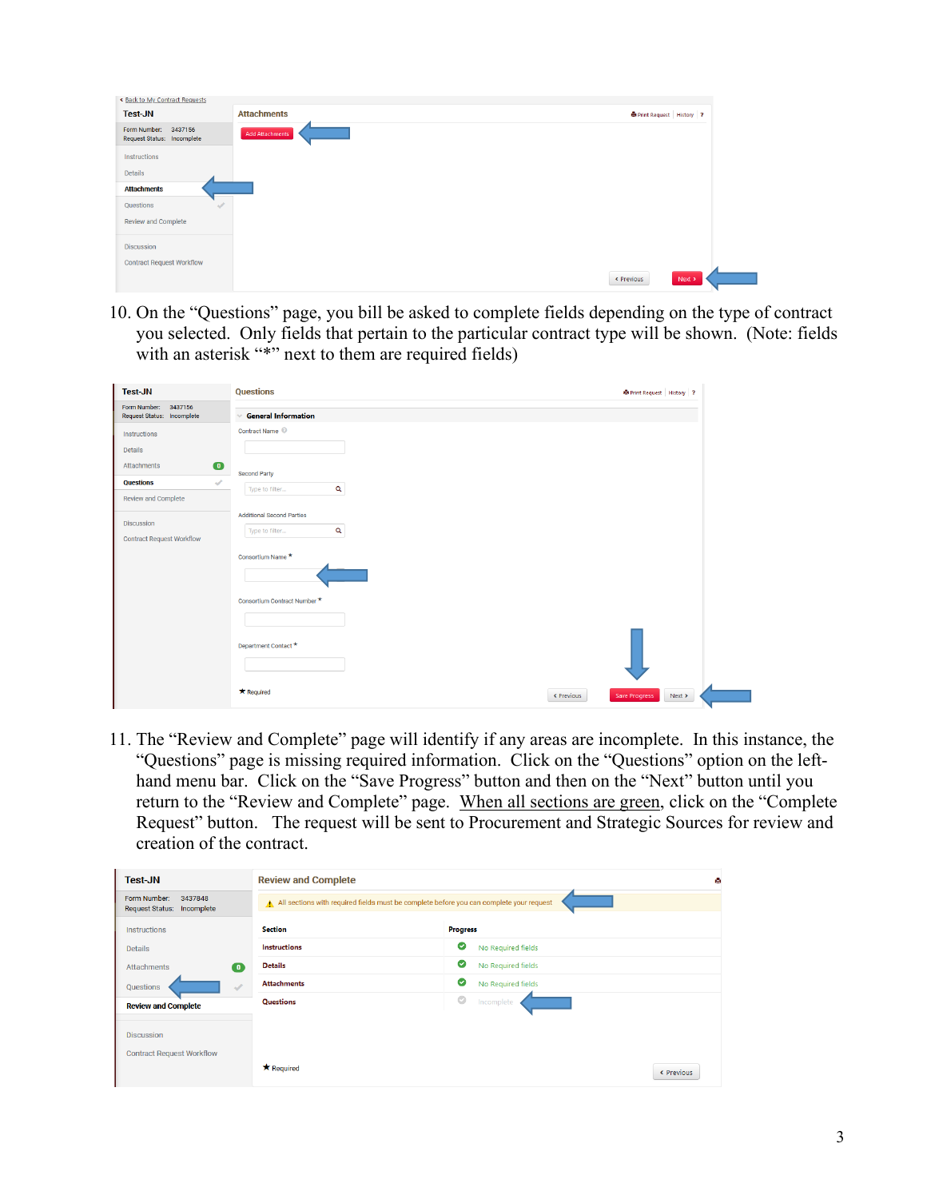| < Back to My Contract Requests                     |                        |  |                                |        |
|----------------------------------------------------|------------------------|--|--------------------------------|--------|
|                                                    | <b>Attachments</b>     |  | <b>Print Request</b> History ? |        |
| Form Number: 3437156<br>Request Status: Incomplete | <b>Add Attachments</b> |  |                                |        |
| Instructions                                       |                        |  |                                |        |
| <b>Details</b>                                     |                        |  |                                |        |
| <b>Attachments</b>                                 |                        |  |                                |        |
| Questions<br>$\mathcal{A}$                         |                        |  |                                |        |
| Review and Complete                                |                        |  |                                |        |
| <b>Discussion</b>                                  |                        |  |                                |        |
| <b>Contract Request Workflow</b>                   |                        |  |                                |        |
|                                                    |                        |  | < Previous                     | Next > |

10. On the "Questions" page, you bill be asked to complete fields depending on the type of contract you selected. Only fields that pertain to the particular contract type will be shown. (Note: fields with an asterisk "\*" next to them are required fields)

| <b>Test-JN</b>                                        | <b>Questions</b>                                  | Print Request History ?               |
|-------------------------------------------------------|---------------------------------------------------|---------------------------------------|
| Form Number:<br>3437156<br>Request Status: Incomplete | <b>General Information</b><br>$\sim$              |                                       |
| <b>Instructions</b>                                   | Contract Name <sup>@</sup>                        |                                       |
| <b>Details</b>                                        |                                                   |                                       |
| $\bullet$<br>Attachments                              |                                                   |                                       |
| <b>Questions</b><br>$\mathcal{A}$                     | <b>Second Party</b><br>$\alpha$<br>Type to filter |                                       |
| <b>Review and Complete</b>                            |                                                   |                                       |
| <b>Discussion</b>                                     | <b>Additional Second Parties</b>                  |                                       |
| <b>Contract Request Workflow</b>                      | $\alpha$<br>Type to filter                        |                                       |
|                                                       | Consortium Name *                                 |                                       |
|                                                       | Consortium Contract Number *                      |                                       |
|                                                       |                                                   |                                       |
|                                                       | Department Contact *                              |                                       |
|                                                       | * Required                                        | Save Progress<br>Next ><br>< Previous |

11. The "Review and Complete" page will identify if any areas are incomplete. In this instance, the "Questions" page is missing required information. Click on the "Questions" option on the lefthand menu bar. Click on the "Save Progress" button and then on the "Next" button until you return to the "Review and Complete" page. When all sections are green, click on the "Complete Request" button. The request will be sent to Procurement and Strategic Sources for review and creation of the contract.

| <b>Test-JN</b>                                        | <b>Review and Complete</b>                                                              |                         |  |
|-------------------------------------------------------|-----------------------------------------------------------------------------------------|-------------------------|--|
| Form Number:<br>3437848<br>Request Status: Incomplete | All sections with required fields must be complete before you can complete your request |                         |  |
| <b>Instructions</b>                                   | <b>Section</b>                                                                          | <b>Progress</b>         |  |
| <b>Details</b>                                        | <b>Instructions</b>                                                                     | ø<br>No Required fields |  |
| <b>Attachments</b><br>0                               | <b>Details</b>                                                                          | ø<br>No Required fields |  |
| <b>Ouestions</b><br>$\overline{\mathscr{A}}$          | <b>Attachments</b>                                                                      | Ø<br>No Required fields |  |
| <b>Review and Complete</b>                            | Questions                                                                               | $\circ$<br>Incomplete   |  |
|                                                       |                                                                                         |                         |  |
| <b>Discussion</b>                                     |                                                                                         |                         |  |
| <b>Contract Request Workflow</b>                      |                                                                                         |                         |  |
|                                                       | <b>*</b> Required                                                                       | < Previous              |  |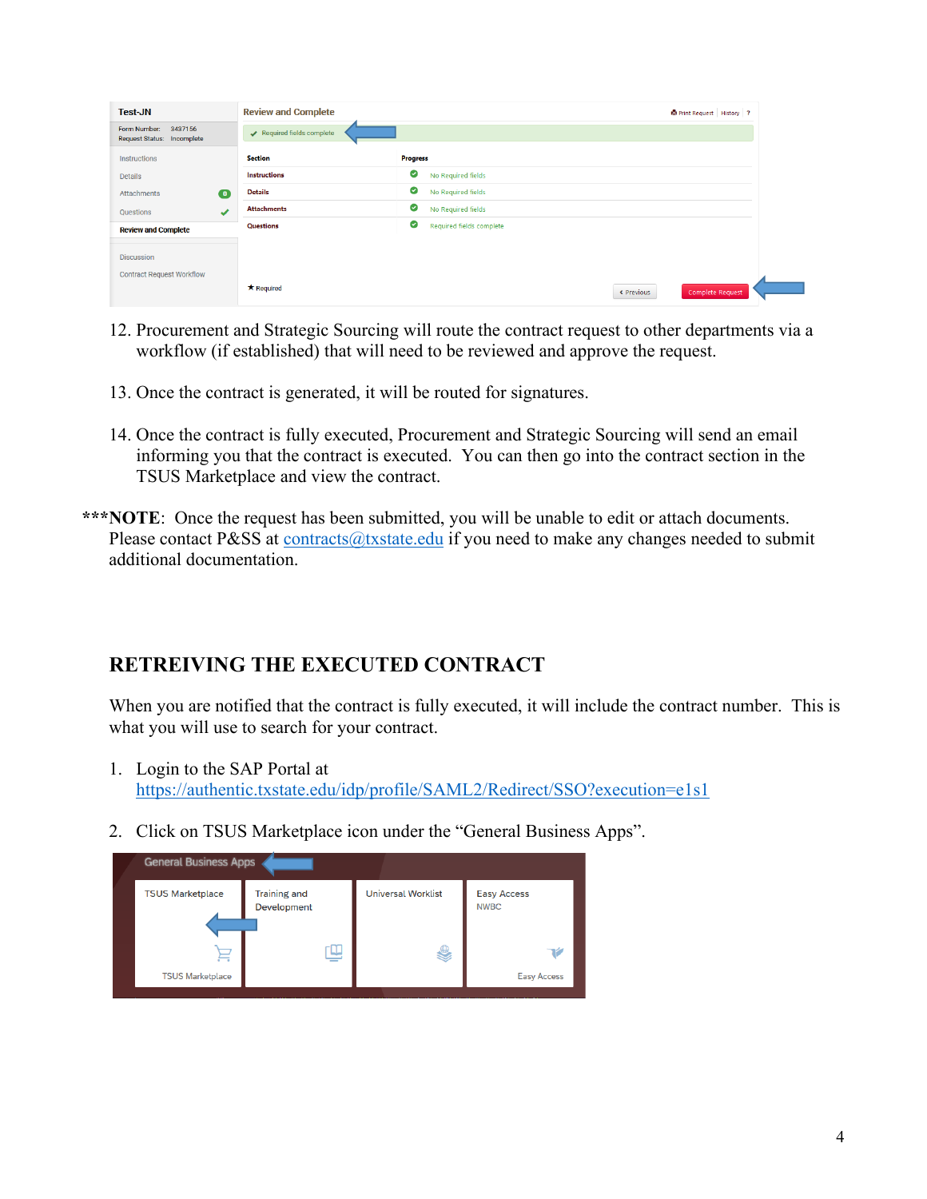| <b>Test-JN</b>                                        | <b>Review and Complete</b> |                               | Print Request History ? |
|-------------------------------------------------------|----------------------------|-------------------------------|-------------------------|
| Form Number:<br>3437156<br>Request Status: Incomplete | Required fields complete   |                               |                         |
| Instructions                                          | <b>Section</b>             | <b>Progress</b>               |                         |
| <b>Details</b>                                        | <b>Instructions</b>        | ◎<br>No Required fields       |                         |
| $\bullet$<br><b>Attachments</b>                       | <b>Details</b>             | ◙<br>No Required fields       |                         |
| ✔<br>Questions                                        | <b>Attachments</b>         | ◙<br>No Required fields       |                         |
| <b>Review and Complete</b>                            | Questions                  | ◙<br>Required fields complete |                         |
|                                                       |                            |                               |                         |
| <b>Discussion</b>                                     |                            |                               |                         |
| <b>Contract Request Workflow</b>                      |                            |                               |                         |
|                                                       | * Required                 | « Previous                    | Complete Request        |

- 12. Procurement and Strategic Sourcing will route the contract request to other departments via a workflow (if established) that will need to be reviewed and approve the request.
- 13. Once the contract is generated, it will be routed for signatures.
- 14. Once the contract is fully executed, Procurement and Strategic Sourcing will send an email informing you that the contract is executed. You can then go into the contract section in the TSUS Marketplace and view the contract.
- \*\*\***NOTE**: Once the request has been submitted, you will be unable to edit or attach documents. Please contact P&SS at [contracts@txstate.edu](mailto:contracts@txstate.edu) if you need to make any changes needed to submit additional documentation.

## **RETREIVING THE EXECUTED CONTRACT**

When you are notified that the contract is fully executed, it will include the contract number. This is what you will use to search for your contract.

- 1. Login to the SAP Portal at <https://authentic.txstate.edu/idp/profile/SAML2/Redirect/SSO?execution=e1s1>
- 2. Click on TSUS Marketplace icon under the "General Business Apps".

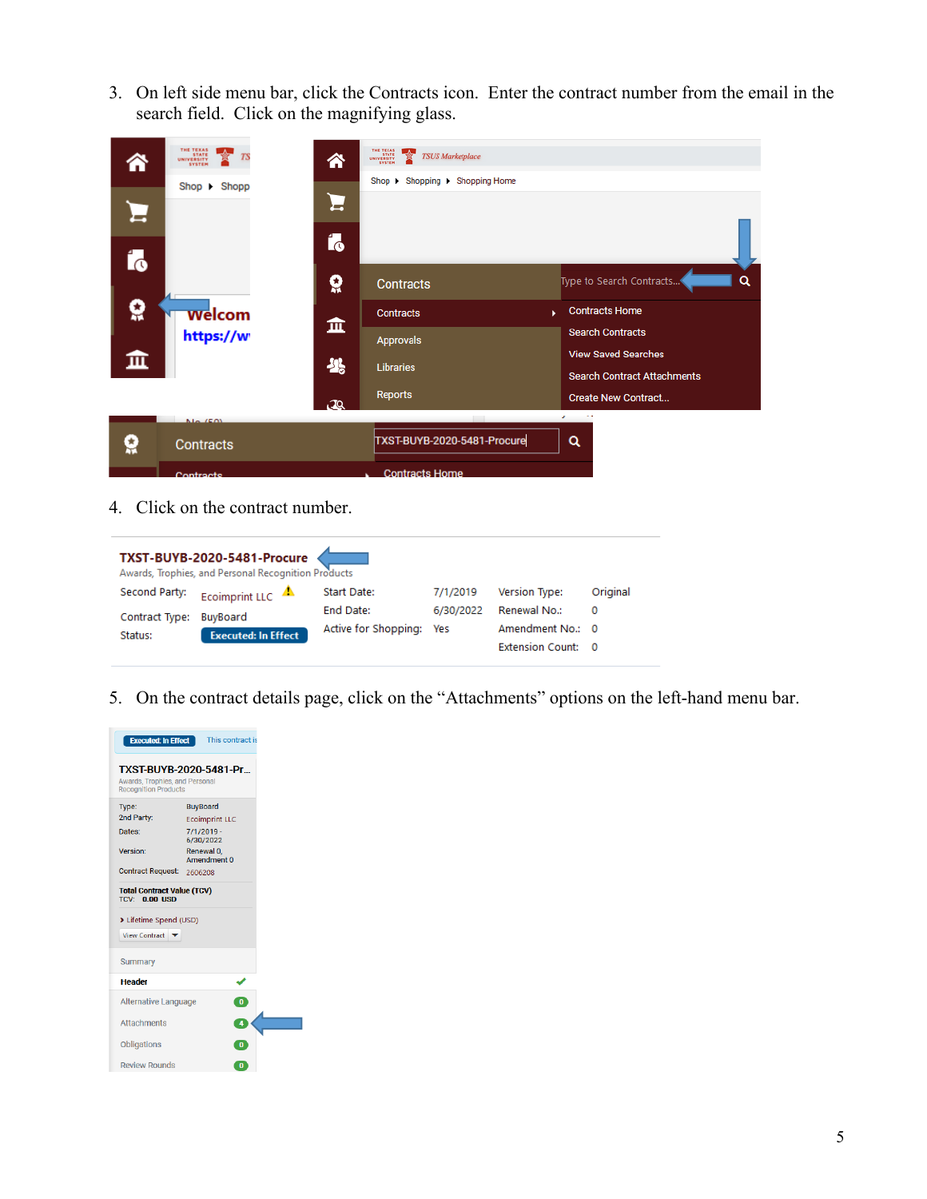3. On left side menu bar, click the Contracts icon. Enter the contract number from the email in the search field. Click on the magnifying glass.

|              | THE TEXAS<br>STATE<br>UNIVERSITY<br>SYSTEM<br>$Show \rightarrow$ Shopp | 谷<br>Ξ<br>Í. | THE TEXAS<br>STATE<br>UNIVERSITY<br>SYSTEM<br>$\rightarrow$<br><b>TSUS Marketplace</b><br>Shop + Shopping + Shopping Home |                                                                                                                                                                         |
|--------------|------------------------------------------------------------------------|--------------|---------------------------------------------------------------------------------------------------------------------------|-------------------------------------------------------------------------------------------------------------------------------------------------------------------------|
| Í.<br>ë<br>血 | <b>Welcom</b><br>https://w                                             | õ<br>血<br>米  | <b>Contracts</b><br><b>Contracts</b><br><b>Approvals</b><br><b>Libraries</b>                                              | Type to Search Contracts<br>Q<br><b>Contracts Home</b><br>$\mathbf{V}$ .<br><b>Search Contracts</b><br><b>View Saved Searches</b><br><b>Search Contract Attachments</b> |
|              | $N = \sqrt{2N}$                                                        | æ            | Reports                                                                                                                   | <b>Create New Contract</b><br>$\mathcal{L} = \{1,2,3,4\}$                                                                                                               |
|              | Contracts<br>Contracte                                                 |              | TXST-BUYB-2020-5481-Procure<br><b>Contracts Home</b>                                                                      | Q                                                                                                                                                                       |

4. Click on the contract number.

|                | TXST-BUYB-2020-5481-Procure<br>Awards, Trophies, and Personal Recognition Products |                      |           |                         |          |
|----------------|------------------------------------------------------------------------------------|----------------------|-----------|-------------------------|----------|
| Second Party:  | Ecoimprint LLC $\triangle$                                                         | Start Date:          | 7/1/2019  | Version Type:           | Original |
| Contract Type: | BuyBoard                                                                           | End Date:            | 6/30/2022 | Renewal No.:            | 0        |
| Status:        | <b>Executed: In Effect</b>                                                         | Active for Shopping: | Yes       | Amendment No.: 0        |          |
|                |                                                                                    |                      |           | <b>Extension Count:</b> | - 0      |

5. On the contract details page, click on the "Attachments" options on the left-hand menu bar.